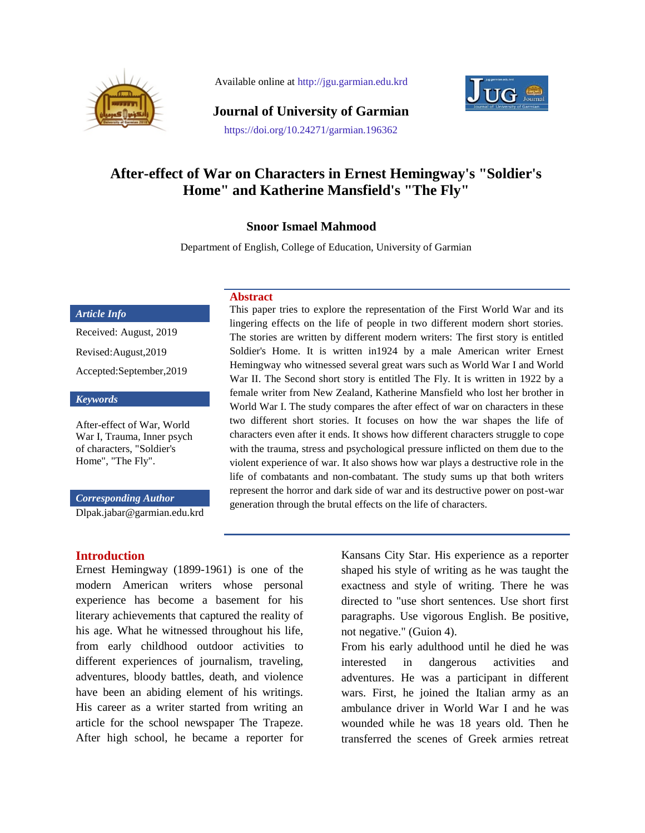

Available online at http://jgu.garmian.edu.krd



**Journal of University of Garmian**

#### https://doi.org/10.24271/garmian.196362

# **After-effect of War on Characters in Ernest Hemingway's "Soldier's Home" and Katherine Mansfield's "The Fly"**

### **Snoor Ismael Mahmood**

Department of English, College of Education, University of Garmian

#### *Article Info*

Received: August, 2019 Revised:August,2019 Accepted:September,2019

#### *Keywords*

After-effect of War, World War I, Trauma, Inner psych of characters, "Soldier's Home", "The Fly".

#### *Corresponding Author*

[Dlpak.jabar@garmian.edu.krd](mailto:ayad.palani@garmian.edu.krd)

**Introduction**

Ernest Hemingway (1899-1961) is one of the modern American writers whose personal experience has become a basement for his literary achievements that captured the reality of his age. What he witnessed throughout his life, from early childhood outdoor activities to different experiences of journalism, traveling, adventures, bloody battles, death, and violence have been an abiding element of his writings. His career as a writer started from writing an article for the school newspaper The Trapeze. After high school, he became a reporter for

**Abstract**

This paper tries to explore the representation of the First World War and its lingering effects on the life of people in two different modern short stories. The stories are written by different modern writers: The first story is entitled Soldier's Home. It is written in1924 by a male American writer Ernest Hemingway who witnessed several great wars such as World War I and World War II. The Second short story is entitled The Fly. It is written in 1922 by a female writer from New Zealand, Katherine Mansfield who lost her brother in World War I. The study compares the after effect of war on characters in these two different short stories. It focuses on how the war shapes the life of characters even after it ends. It shows how different characters struggle to cope with the trauma, stress and psychological pressure inflicted on them due to the violent experience of war. It also shows how war plays a destructive role in the life of combatants and non-combatant. The study sums up that both writers represent the horror and dark side of war and its destructive power on post-war generation through the brutal effects on the life of characters.

> Kansans City Star. His experience as a reporter shaped his style of writing as he was taught the exactness and style of writing. There he was directed to "use short sentences. Use short first paragraphs. Use vigorous English. Be positive, not negative." (Guion 4).

> From his early adulthood until he died he was interested in dangerous activities and adventures. He was a participant in different wars. First, he joined the Italian army as an ambulance driver in World War I and he was wounded while he was 18 years old. Then he transferred the scenes of Greek armies retreat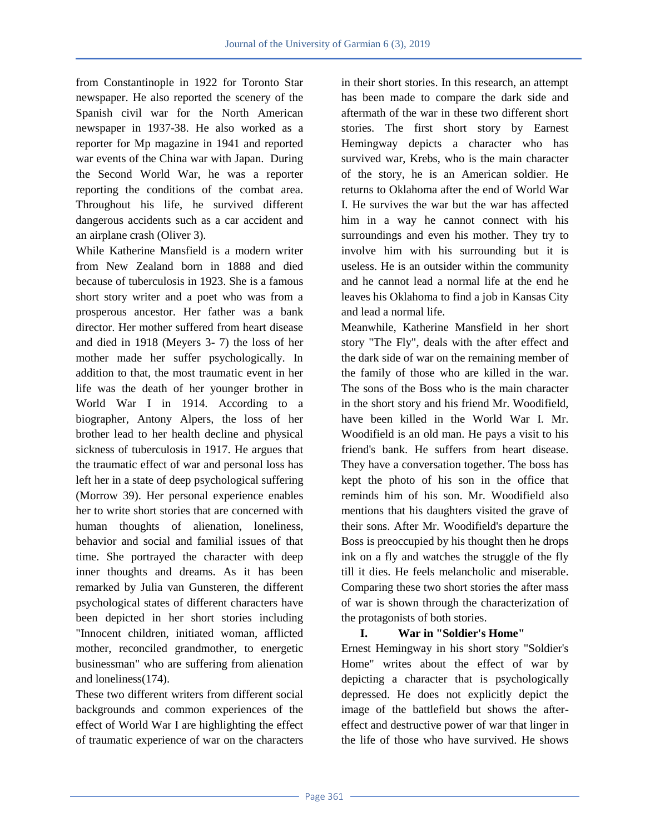from Constantinople in 1922 for Toronto Star newspaper. He also reported the scenery of the Spanish civil war for the North American newspaper in 1937-38. He also worked as a reporter for Mp magazine in 1941 and reported war events of the China war with Japan. During the Second World War, he was a reporter reporting the conditions of the combat area. Throughout his life, he survived different dangerous accidents such as a car accident and an airplane crash (Oliver 3).

While Katherine Mansfield is a modern writer from New Zealand born in 1888 and died because of tuberculosis in 1923. She is a famous short story writer and a poet who was from a prosperous ancestor. Her father was a bank director. Her mother suffered from heart disease and died in 1918 (Meyers 3- 7) the loss of her mother made her suffer psychologically. In addition to that, the most traumatic event in her life was the death of her younger brother in World War I in 1914. According to a biographer, Antony Alpers, the loss of her brother lead to her health decline and physical sickness of tuberculosis in 1917. He argues that the traumatic effect of war and personal loss has left her in a state of deep psychological suffering (Morrow 39). Her personal experience enables her to write short stories that are concerned with human thoughts of alienation, loneliness, behavior and social and familial issues of that time. She portrayed the character with deep inner thoughts and dreams. As it has been remarked by Julia van Gunsteren, the different psychological states of different characters have been depicted in her short stories including "Innocent children, initiated woman, afflicted mother, reconciled grandmother, to energetic businessman" who are suffering from alienation and loneliness(174).

These two different writers from different social backgrounds and common experiences of the effect of World War I are highlighting the effect of traumatic experience of war on the characters in their short stories. In this research, an attempt has been made to compare the dark side and aftermath of the war in these two different short stories. The first short story by Earnest Hemingway depicts a character who has survived war, Krebs, who is the main character of the story, he is an American soldier. He returns to Oklahoma after the end of World War I. He survives the war but the war has affected him in a way he cannot connect with his surroundings and even his mother. They try to involve him with his surrounding but it is useless. He is an outsider within the community and he cannot lead a normal life at the end he leaves his Oklahoma to find a job in Kansas City and lead a normal life.

Meanwhile, Katherine Mansfield in her short story "The Fly", deals with the after effect and the dark side of war on the remaining member of the family of those who are killed in the war. The sons of the Boss who is the main character in the short story and his friend Mr. Woodifield, have been killed in the World War I. Mr. Woodifield is an old man. He pays a visit to his friend's bank. He suffers from heart disease. They have a conversation together. The boss has kept the photo of his son in the office that reminds him of his son. Mr. Woodifield also mentions that his daughters visited the grave of their sons. After Mr. Woodifield's departure the Boss is preoccupied by his thought then he drops ink on a fly and watches the struggle of the fly till it dies. He feels melancholic and miserable. Comparing these two short stories the after mass of war is shown through the characterization of the protagonists of both stories.

## **I. War in "Soldier's Home"**

Ernest Hemingway in his short story "Soldier's Home" writes about the effect of war by depicting a character that is psychologically depressed. He does not explicitly depict the image of the battlefield but shows the aftereffect and destructive power of war that linger in the life of those who have survived. He shows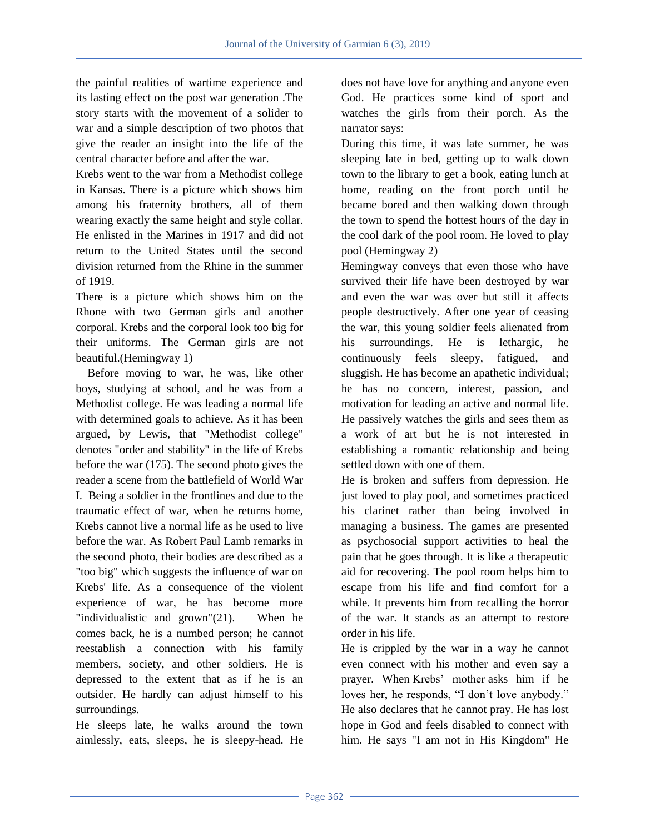the painful realities of wartime experience and its lasting effect on the post war generation .The story starts with the movement of a solider to war and a simple description of two photos that give the reader an insight into the life of the central character before and after the war.

Krebs went to the war from a Methodist college in Kansas. There is a picture which shows him among his fraternity brothers, all of them wearing exactly the same height and style collar. He enlisted in the Marines in 1917 and did not return to the United States until the second division returned from the Rhine in the summer of 1919.

There is a picture which shows him on the Rhone with two German girls and another corporal. Krebs and the corporal look too big for their uniforms. The German girls are not beautiful.(Hemingway 1)

 Before moving to war, he was, like other boys, studying at school, and he was from a Methodist college. He was leading a normal life with determined goals to achieve. As it has been argued, by Lewis, that "Methodist college" denotes "order and stability" in the life of Krebs before the war (175). The second photo gives the reader a scene from the battlefield of World War I. Being a soldier in the frontlines and due to the traumatic effect of war, when he returns home, Krebs cannot live a normal life as he used to live before the war. As Robert Paul Lamb remarks in the second photo, their bodies are described as a "too big" which suggests the influence of war on Krebs' life. As a consequence of the violent experience of war, he has become more "individualistic and grown"(21). When he comes back, he is a numbed person; he cannot reestablish a connection with his family members, society, and other soldiers. He is depressed to the extent that as if he is an outsider. He hardly can adjust himself to his surroundings.

He sleeps late, he walks around the town aimlessly, eats, sleeps, he is sleepy-head. He does not have love for anything and anyone even God. He practices some kind of sport and watches the girls from their porch. As the narrator says:

During this time, it was late summer, he was sleeping late in bed, getting up to walk down town to the library to get a book, eating lunch at home, reading on the front porch until he became bored and then walking down through the town to spend the hottest hours of the day in the cool dark of the pool room. He loved to play pool (Hemingway 2)

Hemingway conveys that even those who have survived their life have been destroyed by war and even the war was over but still it affects people destructively. After one year of ceasing the war, this young soldier feels alienated from his surroundings. He is lethargic, he continuously feels sleepy, fatigued, and sluggish. He has become an apathetic individual; he has no concern, interest, passion, and motivation for leading an active and normal life. He passively watches the girls and sees them as a work of art but he is not interested in establishing a romantic relationship and being settled down with one of them.

He is broken and suffers from depression. He just loved to play pool, and sometimes practiced his clarinet rather than being involved in managing a business. The games are presented as psychosocial support activities to heal the pain that he goes through. It is like a therapeutic aid for recovering. The pool room helps him to escape from his life and find comfort for a while. It prevents him from recalling the horror of the war. It stands as an attempt to restore order in his life.

He is crippled by the war in a way he cannot even connect with his mother and even say a prayer. When Krebs" mother asks him if he loves her, he responds, "I don't love anybody." He also declares that he cannot pray. He has lost hope in God and feels disabled to connect with him. He says "I am not in His Kingdom" He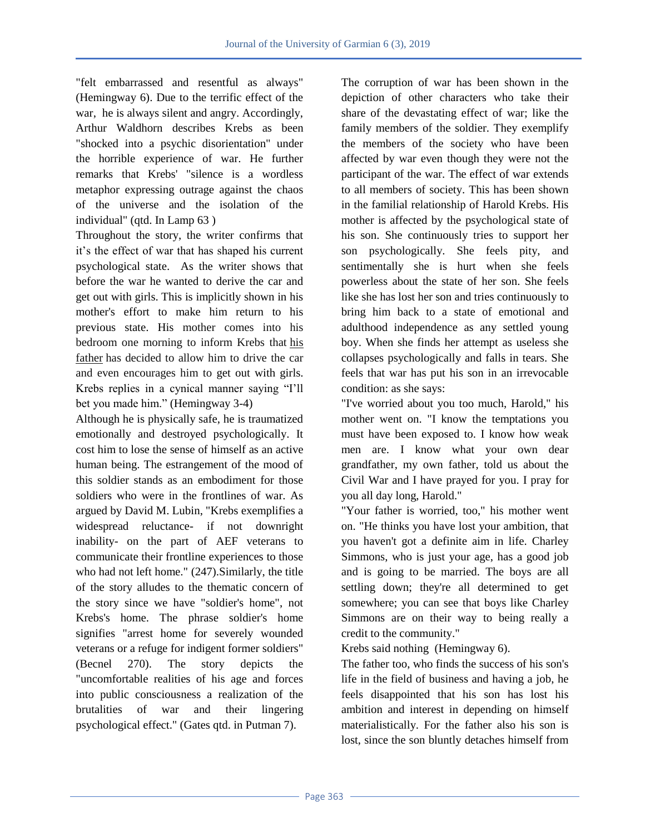"felt embarrassed and resentful as always" (Hemingway 6). Due to the terrific effect of the war, he is always silent and angry. Accordingly, Arthur Waldhorn describes Krebs as been "shocked into a psychic disorientation" under the horrible experience of war. He further remarks that Krebs' "silence is a wordless metaphor expressing outrage against the chaos of the universe and the isolation of the individual" (qtd. In Lamp 63 )

Throughout the story, the writer confirms that it"s the effect of war that has shaped his current psychological state. As the writer shows that before the war he wanted to derive the car and get out with girls. This is implicitly shown in his mother's effort to make him return to his previous state. His mother comes into his bedroom one morning to inform Krebs that [his](https://www.litcharts.com/lit/soldier-s-home/characters/krebs-s-father)  [father](https://www.litcharts.com/lit/soldier-s-home/characters/krebs-s-father) has decided to allow him to drive the car and even encourages him to get out with girls. Krebs replies in a cynical manner saying "I"ll bet you made him." (Hemingway 3-4)

Although he is physically safe, he is traumatized emotionally and destroyed psychologically. It cost him to lose the sense of himself as an active human being. The estrangement of the mood of this soldier stands as an embodiment for those soldiers who were in the frontlines of war. As argued by David M. Lubin, "Krebs exemplifies a widespread reluctance- if not downright inability- on the part of AEF veterans to communicate their frontline experiences to those who had not left home." (247).Similarly, the title of the story alludes to the thematic concern of the story since we have "soldier's home", not Krebs's home. The phrase soldier's home signifies "arrest home for severely wounded veterans or a refuge for indigent former soldiers" (Becnel 270). The story depicts the "uncomfortable realities of his age and forces into public consciousness a realization of the brutalities of war and their lingering psychological effect." (Gates qtd. in Putman 7).

The corruption of war has been shown in the depiction of other characters who take their share of the devastating effect of war; like the family members of the soldier. They exemplify the members of the society who have been affected by war even though they were not the participant of the war. The effect of war extends to all members of society. This has been shown in the familial relationship of Harold Krebs. His mother is affected by the psychological state of his son. She continuously tries to support her son psychologically. She feels pity, and sentimentally she is hurt when she feels powerless about the state of her son. She feels like she has lost her son and tries continuously to bring him back to a state of emotional and adulthood independence as any settled young boy. When she finds her attempt as useless she collapses psychologically and falls in tears. She feels that war has put his son in an irrevocable condition: as she says:

"I've worried about you too much, Harold," his mother went on. "I know the temptations you must have been exposed to. I know how weak men are. I know what your own dear grandfather, my own father, told us about the Civil War and I have prayed for you. I pray for you all day long, Harold."

"Your father is worried, too," his mother went on. "He thinks you have lost your ambition, that you haven't got a definite aim in life. Charley Simmons, who is just your age, has a good job and is going to be married. The boys are all settling down; they're all determined to get somewhere; you can see that boys like Charley Simmons are on their way to being really a credit to the community."

Krebs said nothing (Hemingway 6).

The father too, who finds the success of his son's life in the field of business and having a job, he feels disappointed that his son has lost his ambition and interest in depending on himself materialistically. For the father also his son is lost, since the son bluntly detaches himself from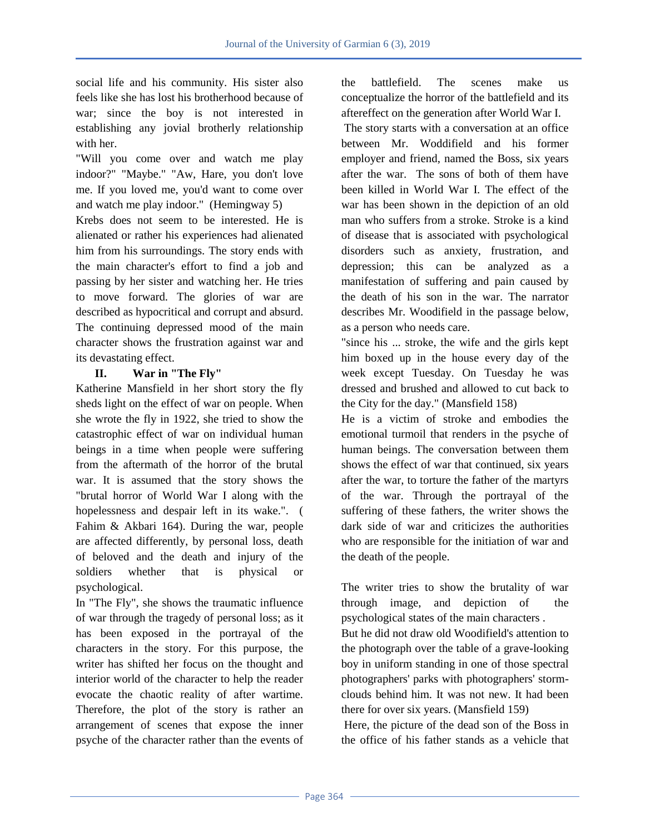social life and his community. His sister also feels like she has lost his brotherhood because of war; since the boy is not interested in establishing any jovial brotherly relationship with her.

"Will you come over and watch me play indoor?" "Maybe." "Aw, Hare, you don't love me. If you loved me, you'd want to come over and watch me play indoor." (Hemingway 5)

Krebs does not seem to be interested. He is alienated or rather his experiences had alienated him from his surroundings. The story ends with the main character's effort to find a job and passing by her sister and watching her. He tries to move forward. The glories of war are described as hypocritical and corrupt and absurd. The continuing depressed mood of the main character shows the frustration against war and its devastating effect.

## **II. War in "The Fly"**

Katherine Mansfield in her short story the fly sheds light on the effect of war on people. When she wrote the fly in 1922, she tried to show the catastrophic effect of war on individual human beings in a time when people were suffering from the aftermath of the horror of the brutal war. It is assumed that the story shows the "brutal horror of World War I along with the hopelessness and despair left in its wake.". ( Fahim & Akbari 164). During the war, people are affected differently, by personal loss, death of beloved and the death and injury of the soldiers whether that is physical or psychological.

In "The Fly", she shows the traumatic influence of war through the tragedy of personal loss; as it has been exposed in the portrayal of the characters in the story. For this purpose, the writer has shifted her focus on the thought and interior world of the character to help the reader evocate the chaotic reality of after wartime. Therefore, the plot of the story is rather an arrangement of scenes that expose the inner psyche of the character rather than the events of the battlefield. The scenes make us conceptualize the horror of the battlefield and its aftereffect on the generation after World War I.

The story starts with a conversation at an office between Mr. Woddifield and his former employer and friend, named the Boss, six years after the war. The sons of both of them have been killed in World War I. The effect of the war has been shown in the depiction of an old man who suffers from a stroke. Stroke is a kind of disease that is associated with psychological disorders such as anxiety, frustration, and depression; this can be analyzed as a manifestation of suffering and pain caused by the death of his son in the war. The narrator describes Mr. Woodifield in the passage below, as a person who needs care.

"since his ... stroke, the wife and the girls kept him boxed up in the house every day of the week except Tuesday. On Tuesday he was dressed and brushed and allowed to cut back to the City for the day." (Mansfield 158)

He is a victim of stroke and embodies the emotional turmoil that renders in the psyche of human beings. The conversation between them shows the effect of war that continued, six years after the war, to torture the father of the martyrs of the war. Through the portrayal of the suffering of these fathers, the writer shows the dark side of war and criticizes the authorities who are responsible for the initiation of war and the death of the people.

The writer tries to show the brutality of war through image, and depiction of the psychological states of the main characters .

But he did not draw old Woodifield's attention to the photograph over the table of a grave-looking boy in uniform standing in one of those spectral photographers' parks with photographers' stormclouds behind him. It was not new. It had been there for over six years. (Mansfield 159)

Here, the picture of the dead son of the Boss in the office of his father stands as a vehicle that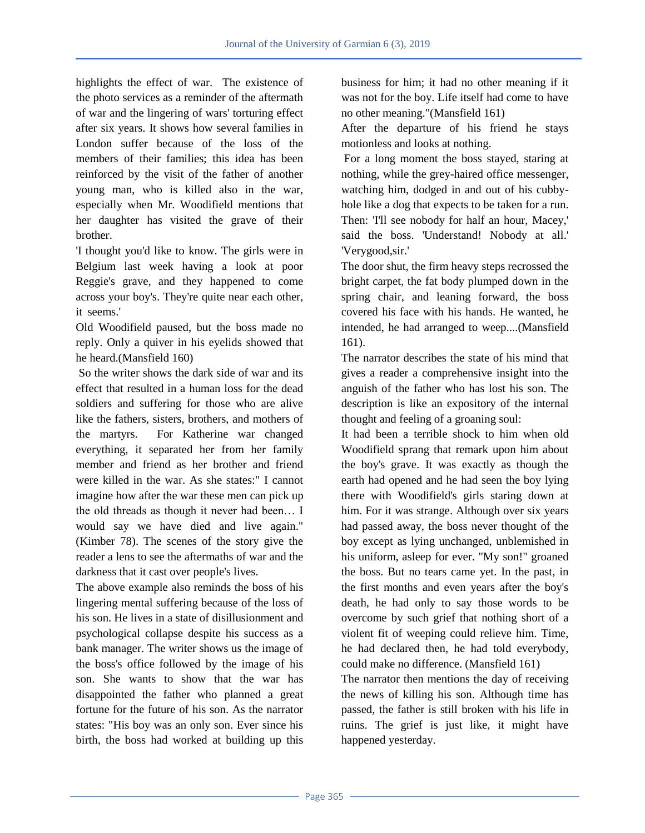highlights the effect of war. The existence of the photo services as a reminder of the aftermath of war and the lingering of wars' torturing effect after six years. It shows how several families in London suffer because of the loss of the members of their families; this idea has been reinforced by the visit of the father of another young man, who is killed also in the war, especially when Mr. Woodifield mentions that her daughter has visited the grave of their brother.

'I thought you'd like to know. The girls were in Belgium last week having a look at poor Reggie's grave, and they happened to come across your boy's. They're quite near each other, it seems.'

Old Woodifield paused, but the boss made no reply. Only a quiver in his eyelids showed that he heard.(Mansfield 160)

So the writer shows the dark side of war and its effect that resulted in a human loss for the dead soldiers and suffering for those who are alive like the fathers, sisters, brothers, and mothers of the martyrs. For Katherine war changed everything, it separated her from her family member and friend as her brother and friend were killed in the war. As she states:" I cannot imagine how after the war these men can pick up the old threads as though it never had been… I would say we have died and live again." (Kimber 78). The scenes of the story give the reader a lens to see the aftermaths of war and the darkness that it cast over people's lives.

The above example also reminds the boss of his lingering mental suffering because of the loss of his son. He lives in a state of disillusionment and psychological collapse despite his success as a bank manager. The writer shows us the image of the boss's office followed by the image of his son. She wants to show that the war has disappointed the father who planned a great fortune for the future of his son. As the narrator states: "His boy was an only son. Ever since his birth, the boss had worked at building up this

business for him; it had no other meaning if it was not for the boy. Life itself had come to have no other meaning."(Mansfield 161)

After the departure of his friend he stays motionless and looks at nothing.

For a long moment the boss stayed, staring at nothing, while the grey-haired office messenger, watching him, dodged in and out of his cubbyhole like a dog that expects to be taken for a run. Then: 'I'll see nobody for half an hour, Macey,' said the boss. 'Understand! Nobody at all.' 'Verygood,sir.'

The door shut, the firm heavy steps recrossed the bright carpet, the fat body plumped down in the spring chair, and leaning forward, the boss covered his face with his hands. He wanted, he intended, he had arranged to weep....(Mansfield 161).

The narrator describes the state of his mind that gives a reader a comprehensive insight into the anguish of the father who has lost his son. The description is like an expository of the internal thought and feeling of a groaning soul:

It had been a terrible shock to him when old Woodifield sprang that remark upon him about the boy's grave. It was exactly as though the earth had opened and he had seen the boy lying there with Woodifield's girls staring down at him. For it was strange. Although over six years had passed away, the boss never thought of the boy except as lying unchanged, unblemished in his uniform, asleep for ever. "My son!" groaned the boss. But no tears came yet. In the past, in the first months and even years after the boy's death, he had only to say those words to be overcome by such grief that nothing short of a violent fit of weeping could relieve him. Time, he had declared then, he had told everybody, could make no difference. (Mansfield 161)

The narrator then mentions the day of receiving the news of killing his son. Although time has passed, the father is still broken with his life in ruins. The grief is just like, it might have happened yesterday.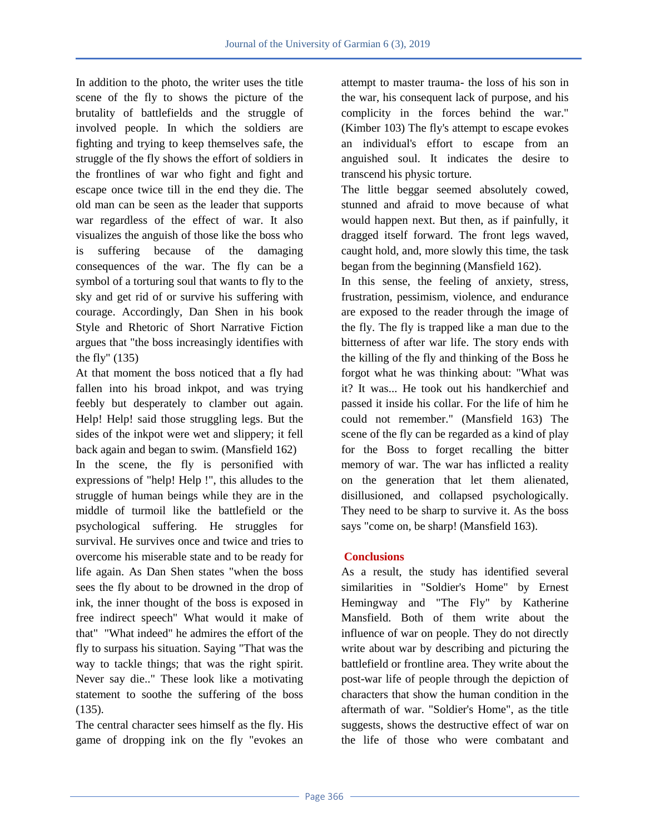In addition to the photo, the writer uses the title scene of the fly to shows the picture of the brutality of battlefields and the struggle of involved people. In which the soldiers are fighting and trying to keep themselves safe, the struggle of the fly shows the effort of soldiers in the frontlines of war who fight and fight and escape once twice till in the end they die. The old man can be seen as the leader that supports war regardless of the effect of war. It also visualizes the anguish of those like the boss who is suffering because of the damaging consequences of the war. The fly can be a symbol of a torturing soul that wants to fly to the sky and get rid of or survive his suffering with courage. Accordingly, Dan Shen in his book Style and Rhetoric of Short Narrative Fiction argues that "the boss increasingly identifies with the fly" (135)

At that moment the boss noticed that a fly had fallen into his broad inkpot, and was trying feebly but desperately to clamber out again. Help! Help! said those struggling legs. But the sides of the inkpot were wet and slippery; it fell back again and began to swim. (Mansfield 162) In the scene, the fly is personified with expressions of "help! Help !", this alludes to the struggle of human beings while they are in the middle of turmoil like the battlefield or the psychological suffering. He struggles for survival. He survives once and twice and tries to overcome his miserable state and to be ready for life again. As Dan Shen states "when the boss sees the fly about to be drowned in the drop of ink, the inner thought of the boss is exposed in free indirect speech" What would it make of that" "What indeed" he admires the effort of the fly to surpass his situation. Saying "That was the way to tackle things; that was the right spirit. Never say die.." These look like a motivating statement to soothe the suffering of the boss (135).

The central character sees himself as the fly. His game of dropping ink on the fly "evokes an attempt to master trauma- the loss of his son in the war, his consequent lack of purpose, and his complicity in the forces behind the war." (Kimber 103) The fly's attempt to escape evokes an individual's effort to escape from an anguished soul. It indicates the desire to transcend his physic torture.

The little beggar seemed absolutely cowed, stunned and afraid to move because of what would happen next. But then, as if painfully, it dragged itself forward. The front legs waved, caught hold, and, more slowly this time, the task began from the beginning (Mansfield 162).

In this sense, the feeling of anxiety, stress, frustration, pessimism, violence, and endurance are exposed to the reader through the image of the fly. The fly is trapped like a man due to the bitterness of after war life. The story ends with the killing of the fly and thinking of the Boss he forgot what he was thinking about: "What was it? It was... He took out his handkerchief and passed it inside his collar. For the life of him he could not remember." (Mansfield 163) The scene of the fly can be regarded as a kind of play for the Boss to forget recalling the bitter memory of war. The war has inflicted a reality on the generation that let them alienated, disillusioned, and collapsed psychologically. They need to be sharp to survive it. As the boss says "come on, be sharp! (Mansfield 163).

## **Conclusions**

As a result, the study has identified several similarities in "Soldier's Home" by Ernest Hemingway and "The Fly" by Katherine Mansfield. Both of them write about the influence of war on people. They do not directly write about war by describing and picturing the battlefield or frontline area. They write about the post-war life of people through the depiction of characters that show the human condition in the aftermath of war. "Soldier's Home", as the title suggests, shows the destructive effect of war on the life of those who were combatant and